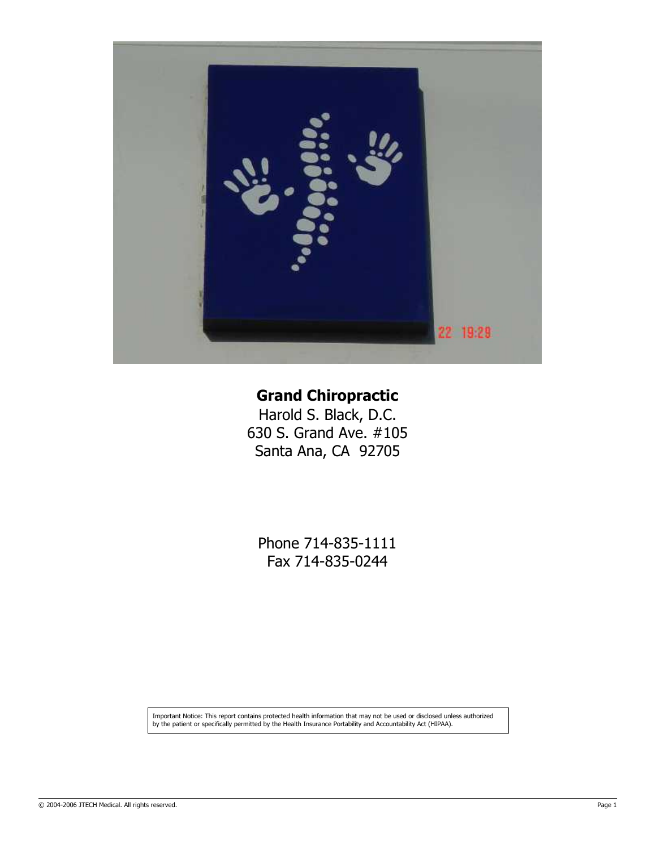

# Grand Chiropractic

Harold S. Black, D.C. 630 S. Grand Ave. #105 Santa Ana, CA 92705

Phone 714-835-1111 Fax 714-835-0244

Important Notice: This report contains protected health information that may not be used or disclosed unless authorized by the patient or specifically permitted by the Health Insurance Portability and Accountability Act (HIPAA).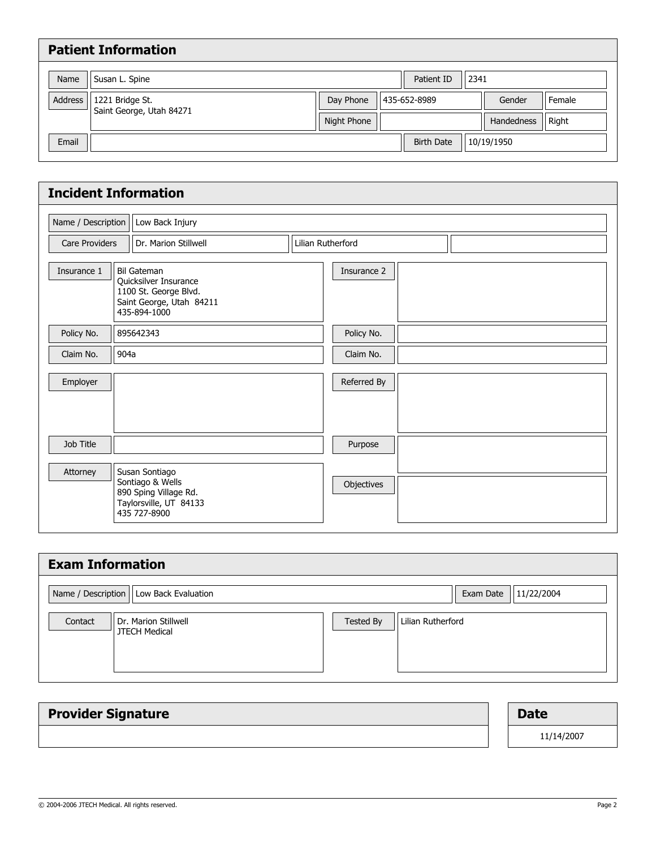|         | <b>Patient Information</b>                  |             |                    |            |        |
|---------|---------------------------------------------|-------------|--------------------|------------|--------|
| Name    | Susan L. Spine                              |             | Patient ID<br>2341 |            |        |
| Address | 1221 Bridge St.<br>Saint George, Utah 84271 | Day Phone   | 435-652-8989       | Gender     | Female |
|         |                                             | Night Phone |                    | Handedness | Right  |
| Email   |                                             |             | <b>Birth Date</b>  | 10/19/1950 |        |
|         |                                             |             |                    |            |        |

|                    | <b>Incident Information</b>            |                                                                                                                  |                   |             |  |  |  |
|--------------------|----------------------------------------|------------------------------------------------------------------------------------------------------------------|-------------------|-------------|--|--|--|
| Name / Description |                                        | Low Back Injury                                                                                                  |                   |             |  |  |  |
|                    | Dr. Marion Stillwell<br>Care Providers |                                                                                                                  | Lilian Rutherford |             |  |  |  |
| Insurance 1        |                                        | <b>Bil Gateman</b><br>Quicksilver Insurance<br>1100 St. George Blvd.<br>Saint George, Utah 84211<br>435-894-1000 |                   | Insurance 2 |  |  |  |
| Policy No.         |                                        | 895642343                                                                                                        |                   | Policy No.  |  |  |  |
| Claim No.          | 904a                                   |                                                                                                                  |                   | Claim No.   |  |  |  |
| Employer           |                                        |                                                                                                                  |                   | Referred By |  |  |  |
| Job Title          |                                        |                                                                                                                  |                   | Purpose     |  |  |  |
| Attorney           |                                        | Susan Sontiago<br>Sontiago & Wells<br>890 Sping Village Rd.<br>Taylorsville, UT 84133<br>435 727-8900            |                   | Objectives  |  |  |  |

| <b>Exam Information</b>                                 |           |                   |            |
|---------------------------------------------------------|-----------|-------------------|------------|
| Name / Description   Low Back Evaluation                |           | Exam Date         | 11/22/2004 |
| Contact<br>Dr. Marion Stillwell<br><b>JTECH Medical</b> | Tested By | Lilian Rutherford |            |

| <b>Provider Signature</b> | <b>Date</b> |
|---------------------------|-------------|
|                           | 11/14/2007  |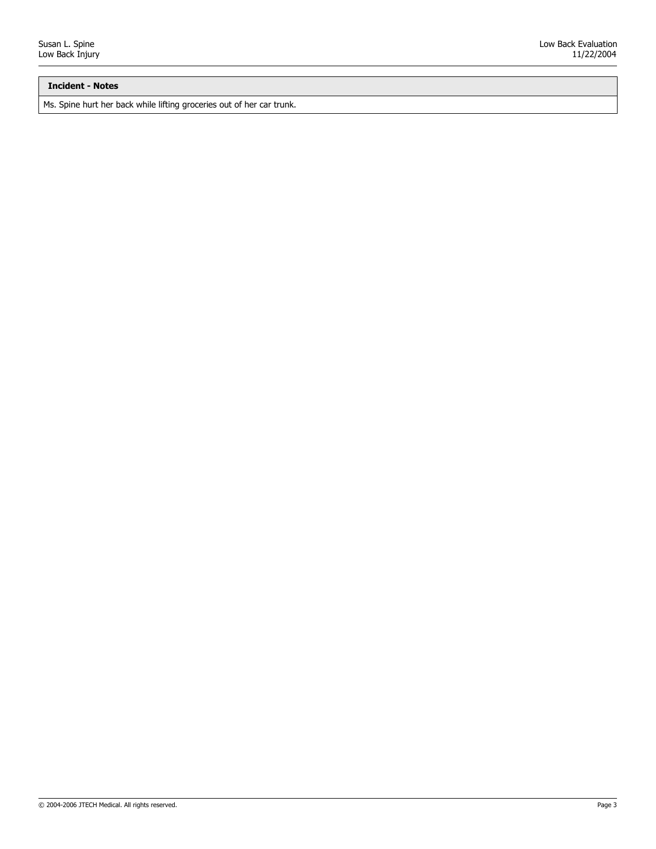## Incident - Notes

Ms. Spine hurt her back while lifting groceries out of her car trunk.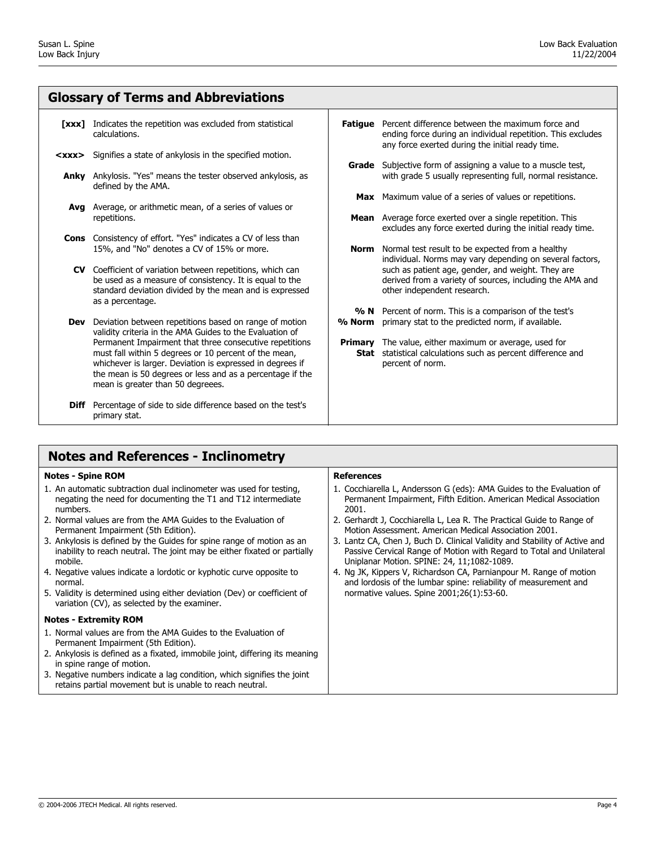## Glossary of Terms and Abbreviations

- [xxx] Indicates the repetition was excluded from statistical calculations.
- **<xxx>** Signifies a state of ankylosis in the specified motion.
	- **Anky** Ankylosis. "Yes" means the tester observed ankylosis, as defined by the AMA.
	- Avg Average, or arithmetic mean, of a series of values or repetitions.
	- **Cons** Consistency of effort. "Yes" indicates a CV of less than 15%, and "No" denotes a CV of 15% or more.
	- CV Coefficient of variation between repetitions, which can be used as a measure of consistency. It is equal to the standard deviation divided by the mean and is expressed as a percentage.
	- **Dev** Deviation between repetitions based on range of motion validity criteria in the AMA Guides to the Evaluation of Permanent Impairment that three consecutive repetitions must fall within 5 degrees or 10 percent of the mean, whichever is larger. Deviation is expressed in degrees if the mean is 50 degrees or less and as a percentage if the mean is greater than 50 degreees.
	- **Diff** Percentage of side to side difference based on the test's primary stat.

# Notes and References - Inclinometry

#### Notes - Spine ROM

- 1. An automatic subtraction dual inclinometer was used for testing, negating the need for documenting the T1 and T12 intermediate numbers.
- 2. Normal values are from the AMA Guides to the Evaluation of Permanent Impairment (5th Edition).
- 3. Ankylosis is defined by the Guides for spine range of motion as an inability to reach neutral. The joint may be either fixated or partially mobile.
- 4. Negative values indicate a lordotic or kyphotic curve opposite to normal.
- 5. Validity is determined using either deviation (Dev) or coefficient of variation (CV), as selected by the examiner.

#### Notes - Extremity ROM

- 1. Normal values are from the AMA Guides to the Evaluation of Permanent Impairment (5th Edition).
- 2. Ankylosis is defined as a fixated, immobile joint, differing its meaning in spine range of motion.
- 3. Negative numbers indicate a lag condition, which signifies the joint retains partial movement but is unable to reach neutral.

#### References

1. Cocchiarella L, Andersson G (eds): AMA Guides to the Evaluation of Permanent Impairment, Fifth Edition. American Medical Association 2001.

Fatigue Percent difference between the maximum force and

any force exerted during the initial ready time.

Grade Subjective form of assigning a value to a muscle test,

**Max** Maximum value of a series of values or repetitions. **Mean** Average force exerted over a single repetition. This

**Norm** Normal test result to be expected from a healthy

 $% N$  Percent of norm. This is a comparison of the test's % **Norm** primary stat to the predicted norm, if available. **Primary** The value, either maximum or average, used for **Stat** statistical calculations such as percent difference and

other independent research.

percent of norm.

ending force during an individual repetition. This excludes

with grade 5 usually representing full, normal resistance.

excludes any force exerted during the initial ready time.

individual. Norms may vary depending on several factors, such as patient age, gender, and weight. They are derived from a variety of sources, including the AMA and

- 2. Gerhardt J, Cocchiarella L, Lea R. The Practical Guide to Range of Motion Assessment. American Medical Association 2001.
- 3. Lantz CA, Chen J, Buch D. Clinical Validity and Stability of Active and Passive Cervical Range of Motion with Regard to Total and Unilateral Uniplanar Motion. SPINE: 24, 11;1082-1089.
- 4. Ng JK, Kippers V, Richardson CA, Parnianpour M. Range of motion and lordosis of the lumbar spine: reliability of measurement and normative values. Spine 2001;26(1):53-60.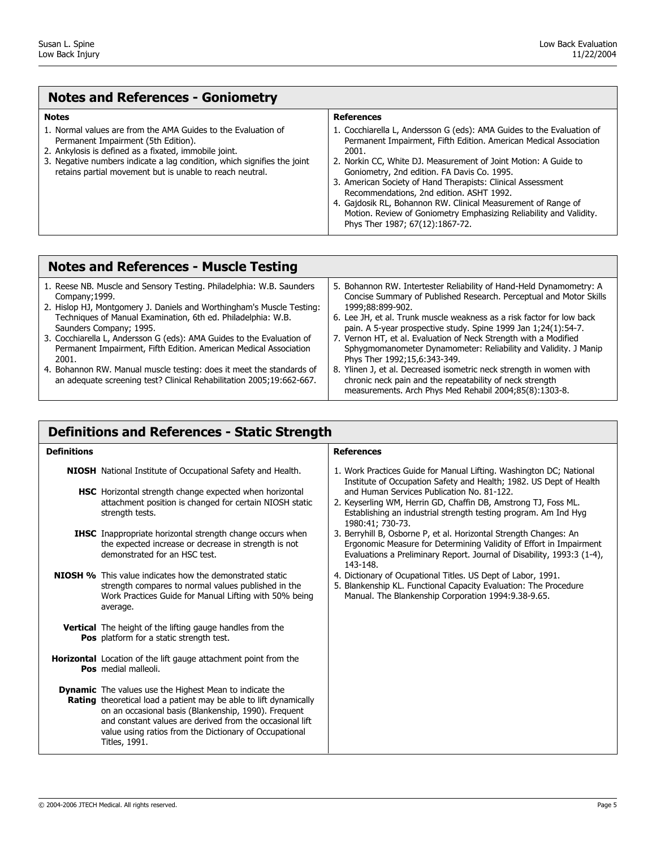| <b>Notes and References - Goniometry</b>                                                                                                                                                                                                                                                             |                                                                                                                                                                                                                                                                                                                                                                                                                                                                                                                                                             |  |  |  |
|------------------------------------------------------------------------------------------------------------------------------------------------------------------------------------------------------------------------------------------------------------------------------------------------------|-------------------------------------------------------------------------------------------------------------------------------------------------------------------------------------------------------------------------------------------------------------------------------------------------------------------------------------------------------------------------------------------------------------------------------------------------------------------------------------------------------------------------------------------------------------|--|--|--|
| <b>Notes</b>                                                                                                                                                                                                                                                                                         | <b>References</b>                                                                                                                                                                                                                                                                                                                                                                                                                                                                                                                                           |  |  |  |
| 1. Normal values are from the AMA Guides to the Evaluation of<br>Permanent Impairment (5th Edition).<br>2. Ankylosis is defined as a fixated, immobile joint.<br>3. Negative numbers indicate a lag condition, which signifies the joint<br>retains partial movement but is unable to reach neutral. | 1. Cocchiarella L, Andersson G (eds): AMA Guides to the Evaluation of<br>Permanent Impairment, Fifth Edition. American Medical Association<br>2001.<br>2. Norkin CC, White DJ. Measurement of Joint Motion: A Guide to<br>Goniometry, 2nd edition. FA Davis Co. 1995.<br>3. American Society of Hand Therapists: Clinical Assessment<br>Recommendations, 2nd edition. ASHT 1992.<br>4. Gajdosik RL, Bohannon RW. Clinical Measurement of Range of<br>Motion. Review of Goniometry Emphasizing Reliability and Validity.<br>Phys Ther 1987; 67(12): 1867-72. |  |  |  |

## Notes and References - Muscle Testing

| 1. Reese NB. Muscle and Sensory Testing. Philadelphia: W.B. Saunders<br>Company; 1999. | 5. Bohannon RW. Intertester Reliability of Hand-Held Dynamometry: A<br>Concise Summary of Published Research. Perceptual and Motor Skills |
|----------------------------------------------------------------------------------------|-------------------------------------------------------------------------------------------------------------------------------------------|
| 2. Hislop HJ, Montgomery J. Daniels and Worthingham's Muscle Testing:                  | 1999:88:899-902.                                                                                                                          |
| Techniques of Manual Examination, 6th ed. Philadelphia: W.B.                           | 6. Lee JH, et al. Trunk muscle weakness as a risk factor for low back                                                                     |
| Saunders Company; 1995.                                                                | pain. A 5-year prospective study. Spine 1999 Jan 1;24(1):54-7.                                                                            |
| 3. Cocchiarella L, Andersson G (eds): AMA Guides to the Evaluation of                  | 7. Vernon HT, et al. Evaluation of Neck Strength with a Modified                                                                          |
| Permanent Impairment, Fifth Edition. American Medical Association                      | Sphygmomanometer Dynamometer: Reliability and Validity. J Manip                                                                           |
| 2001.                                                                                  | Phys Ther 1992;15,6:343-349.                                                                                                              |
| 4. Bohannon RW. Manual muscle testing: does it meet the standards of                   | 8. Ylinen J, et al. Decreased isometric neck strength in women with                                                                       |
| an adequate screening test? Clinical Rehabilitation 2005;19:662-667.                   | chronic neck pain and the repeatability of neck strength                                                                                  |
|                                                                                        | measurements. Arch Phys Med Rehabil 2004;85(8):1303-8.                                                                                    |

## Definitions and References - Static Strength

#### Definitions **References**

NIOSH National Institute of Occupational Safety and Health.

- **HSC** Horizontal strength change expected when horizontal attachment position is changed for certain NIOSH static strength tests.
- **IHSC** Inappropriate horizontal strength change occurs when the expected increase or decrease in strength is not demonstrated for an HSC test.
- **NIOSH %** This value indicates how the demonstrated static strength compares to normal values published in the Work Practices Guide for Manual Lifting with 50% being average.
	- **Vertical** The height of the lifting gauge handles from the Pos platform for a static strength test.
- **Horizontal** Location of the lift gauge attachment point from the Pos medial malleoli.
- **Dynamic** The values use the Highest Mean to indicate the **Rating** theoretical load a patient may be able to lift dynamically on an occasional basis (Blankenship, 1990). Frequent and constant values are derived from the occasional lift value using ratios from the Dictionary of Occupational Titles, 1991.

- 1. Work Practices Guide for Manual Lifting. Washington DC; National Institute of Occupation Safety and Health; 1982. US Dept of Health and Human Services Publication No. 81-122.
- 2. Keyserling WM, Herrin GD, Chaffin DB, Amstrong TJ, Foss ML. Establishing an industrial strength testing program. Am Ind Hyg 1980:41; 730-73.
- 3. Berryhill B, Osborne P, et al. Horizontal Strength Changes: An Ergonomic Measure for Determining Validity of Effort in Impairment Evaluations a Preliminary Report. Journal of Disability, 1993:3 (1-4), 143-148.
- 4. Dictionary of Ocupational Titles. US Dept of Labor, 1991.
- 5. Blankenship KL. Functional Capacity Evaluation: The Procedure Manual. The Blankenship Corporation 1994:9.38-9.65.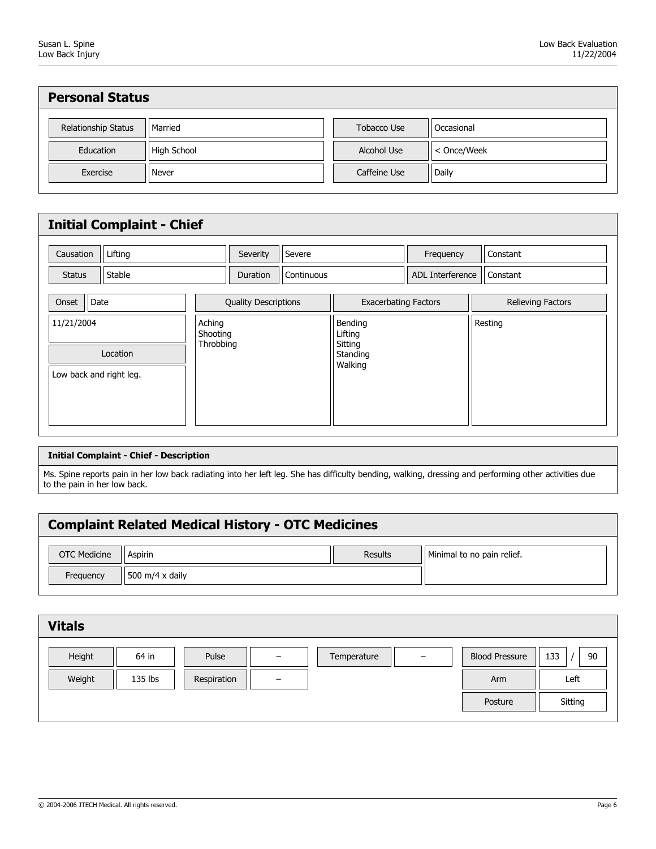| <b>Personal Status</b> |             |              |             |  |  |
|------------------------|-------------|--------------|-------------|--|--|
| Relationship Status    | Married     | Tobacco Use  | Occasional  |  |  |
| Education              | High School | Alcohol Use  | < Once/Week |  |  |
| Exercise               | Never       | Caffeine Use | Daily       |  |  |

| <b>Initial Complaint - Chief</b>                  |                                 |            |                                                      |                         |                          |  |
|---------------------------------------------------|---------------------------------|------------|------------------------------------------------------|-------------------------|--------------------------|--|
| Lifting<br>Causation                              | Severity                        | Severe     |                                                      | Frequency               | Constant                 |  |
| Stable<br><b>Status</b>                           | <b>Duration</b>                 | Continuous |                                                      | <b>ADL Interference</b> | Constant                 |  |
| Date<br>Onset                                     | <b>Quality Descriptions</b>     |            | <b>Exacerbating Factors</b>                          |                         | <b>Relieving Factors</b> |  |
| 11/21/2004<br>Location<br>Low back and right leg. | Aching<br>Shooting<br>Throbbing |            | Bending<br>Lifting<br>Sitting<br>Standing<br>Walking |                         | Resting                  |  |

#### Initial Complaint - Chief - Description

Ms. Spine reports pain in her low back radiating into her left leg. She has difficulty bending, walking, dressing and performing other activities due to the pain in her low back.

# Complaint Related Medical History - OTC Medicines

| <b>OTC Medicine</b> | Aspirin         | Results | Minimal to no pain relief. |
|---------------------|-----------------|---------|----------------------------|
| Frequency           | 500 m/4 x daily |         |                            |

| <b>Vitals</b> |         |             |                          |             |                          |                       |           |
|---------------|---------|-------------|--------------------------|-------------|--------------------------|-----------------------|-----------|
| Height        | 64 in   | Pulse       | $\qquad \qquad -$        | Temperature | $\overline{\phantom{m}}$ | <b>Blood Pressure</b> | 90<br>133 |
| Weight        | 135 lbs | Respiration | $\overline{\phantom{m}}$ |             |                          | Arm                   | Left      |
|               |         |             |                          |             |                          | Posture               | Sitting   |
|               |         |             |                          |             |                          |                       |           |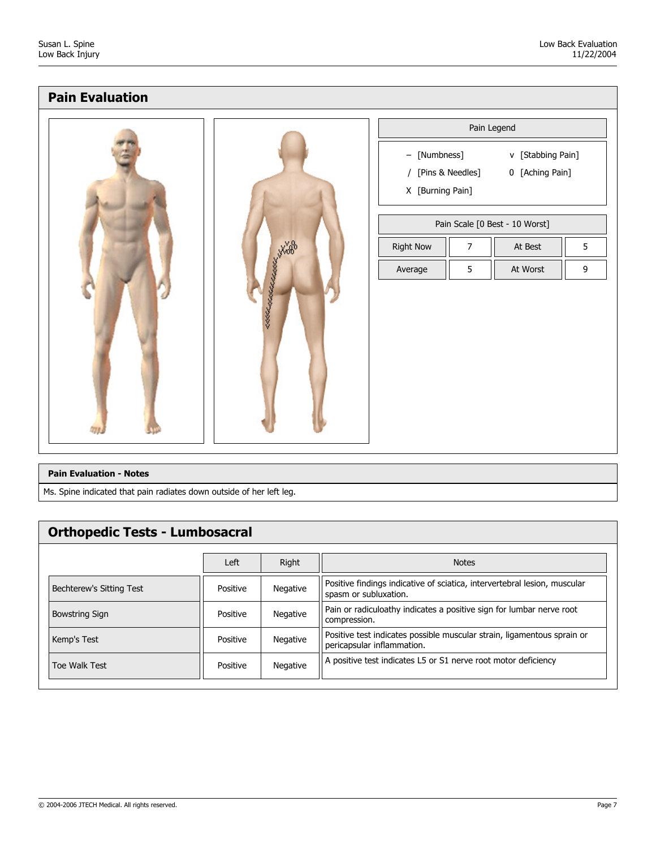# Pain Evaluation

|                     |                                  |                    | Pain Legend                          |                  |
|---------------------|----------------------------------|--------------------|--------------------------------------|------------------|
|                     | - [Numbness]<br>X [Burning Pain] | / [Pins & Needles] | v [Stabbing Pain]<br>0 [Aching Pain] |                  |
|                     |                                  |                    | Pain Scale [0 Best - 10 Worst]       |                  |
|                     | <b>Right Now</b>                 | $\overline{7}$     | At Best                              | 5                |
|                     | Average                          | 5                  | At Worst                             | $\boldsymbol{9}$ |
| KAMARAKALARAKA KARA |                                  |                    |                                      |                  |

#### Pain Evaluation - Notes

Ms. Spine indicated that pain radiates down outside of her left leg.

# Orthopedic Tests - Lumbosacral

|                          | Left     | Right    | <b>Notes</b>                                                                                          |
|--------------------------|----------|----------|-------------------------------------------------------------------------------------------------------|
| Bechterew's Sitting Test | Positive | Negative | Positive findings indicative of sciatica, intervertebral lesion, muscular<br>spasm or subluxation.    |
| <b>Bowstring Sign</b>    | Positive | Negative | Pain or radiculoathy indicates a positive sign for lumbar nerve root<br>compression.                  |
| Kemp's Test              | Positive | Negative | Positive test indicates possible muscular strain, ligamentous sprain or<br>pericapsular inflammation. |
| Toe Walk Test            | Positive | Negative | A positive test indicates L5 or S1 nerve root motor deficiency                                        |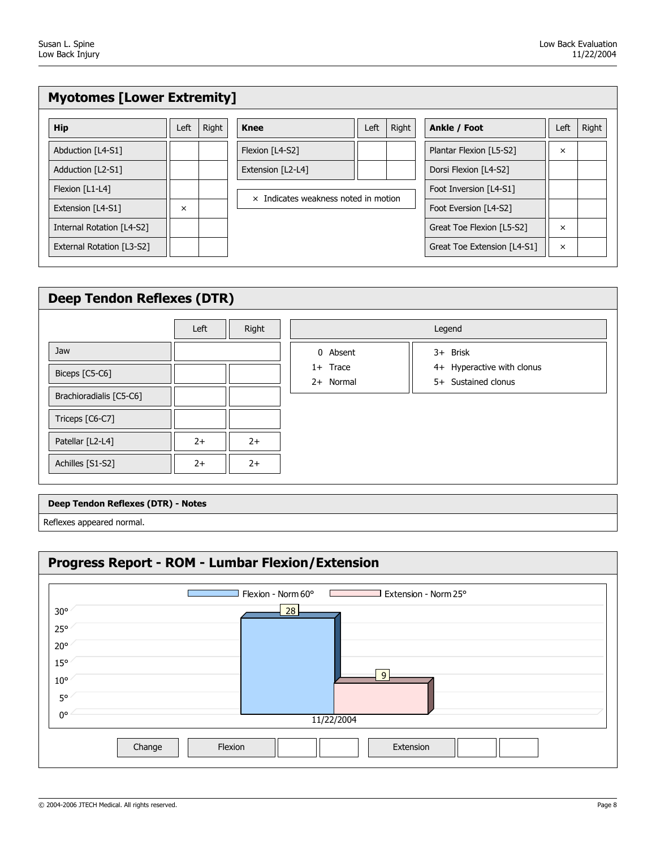| <b>Myotomes [Lower Extremity]</b> |          |       |                                             |      |       |                             |          |       |  |  |  |  |
|-----------------------------------|----------|-------|---------------------------------------------|------|-------|-----------------------------|----------|-------|--|--|--|--|
| <b>Hip</b>                        | Left     | Right | <b>Knee</b>                                 | Left | Right | Ankle / Foot                | Left     | Right |  |  |  |  |
| Abduction [L4-S1]                 |          |       | Flexion [L4-S2]                             |      |       | Plantar Flexion [L5-S2]     | $\times$ |       |  |  |  |  |
| Adduction [L2-S1]                 |          |       | Extension [L2-L4]                           |      |       | Dorsi Flexion [L4-S2]       |          |       |  |  |  |  |
| Flexion [L1-L4]                   |          |       | $\times$ Indicates weakness noted in motion |      |       | Foot Inversion [L4-S1]      |          |       |  |  |  |  |
| Extension [L4-S1]                 | $\times$ |       |                                             |      |       | Foot Eversion [L4-S2]       |          |       |  |  |  |  |
| Internal Rotation [L4-S2]         |          |       |                                             |      |       | Great Toe Flexion [L5-S2]   | $\times$ |       |  |  |  |  |
| External Rotation [L3-S2]         |          |       |                                             |      |       | Great Toe Extension [L4-S1] | ×        |       |  |  |  |  |
|                                   |          |       |                                             |      |       |                             |          |       |  |  |  |  |

| <b>Deep Tendon Reflexes (DTR)</b> |      |       |                         |                                                   |  |  |  |  |  |  |  |
|-----------------------------------|------|-------|-------------------------|---------------------------------------------------|--|--|--|--|--|--|--|
|                                   | Left | Right |                         | Legend                                            |  |  |  |  |  |  |  |
| Jaw                               |      |       | 0 Absent                | 3+ Brisk                                          |  |  |  |  |  |  |  |
| Biceps [C5-C6]                    |      |       | $1+$ Trace<br>2+ Normal | 4+ Hyperactive with clonus<br>5+ Sustained clonus |  |  |  |  |  |  |  |
| Brachioradialis [C5-C6]           |      |       |                         |                                                   |  |  |  |  |  |  |  |
| Triceps [C6-C7]                   |      |       |                         |                                                   |  |  |  |  |  |  |  |
| Patellar [L2-L4]                  | $2+$ | $2+$  |                         |                                                   |  |  |  |  |  |  |  |
| Achilles [S1-S2]                  | $2+$ | $2+$  |                         |                                                   |  |  |  |  |  |  |  |
|                                   |      |       |                         |                                                   |  |  |  |  |  |  |  |

#### Deep Tendon Reflexes (DTR) - Notes

Reflexes appeared normal.

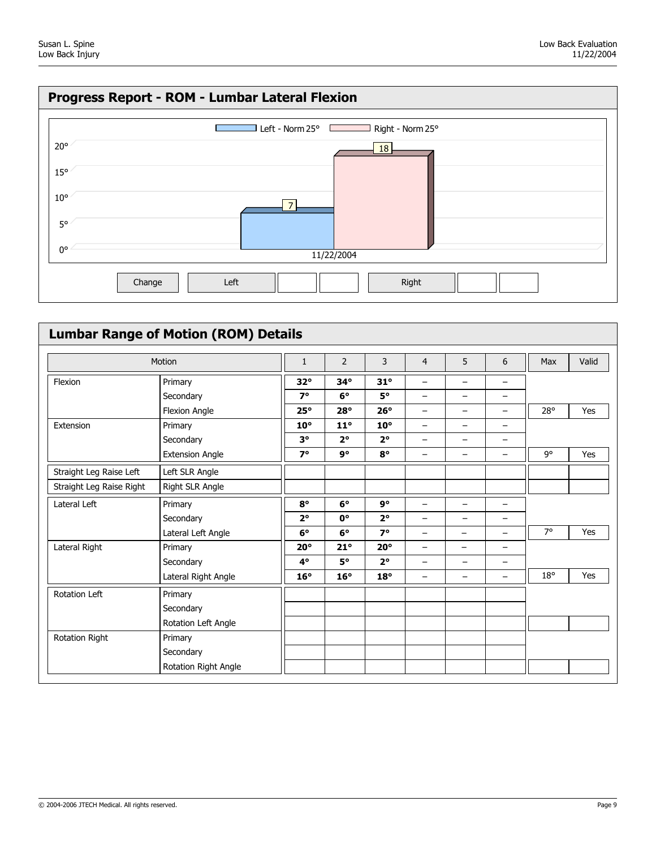

| <b>Lumbar Range of Motion (ROM) Details</b> |                        |              |                |              |                          |                          |                          |           |       |  |
|---------------------------------------------|------------------------|--------------|----------------|--------------|--------------------------|--------------------------|--------------------------|-----------|-------|--|
|                                             | Motion<br>Primary      |              | $\overline{2}$ | 3            | $\overline{4}$           | 5                        | 6                        | Max       | Valid |  |
| Flexion                                     |                        |              | $34^\circ$     | $31^\circ$   | $\overline{\phantom{0}}$ | $\overline{\phantom{0}}$ | -                        |           |       |  |
|                                             | Secondary              | $7^\circ$    | $6^\circ$      | $5^\circ$    | —                        | $\qquad \qquad -$        | -                        |           |       |  |
|                                             | Flexion Angle          | $25^\circ$   | $28^\circ$     | $26^\circ$   | -                        | $\qquad \qquad -$        | -                        | 28°       | Yes   |  |
| Extension                                   | Primary                | $10^{\circ}$ | $11^\circ$     | $10^{\circ}$ | -                        | $\qquad \qquad -$        | -                        |           |       |  |
|                                             | Secondary              | $3^{\circ}$  | $2^{\circ}$    | $2^{\circ}$  | -                        | -                        | -                        |           |       |  |
|                                             | <b>Extension Angle</b> | $7^\circ$    | 9°             | $8^{\circ}$  | -                        | -                        | -                        | 9°        | Yes   |  |
| Straight Leg Raise Left                     | Left SLR Angle         |              |                |              |                          |                          |                          |           |       |  |
| Straight Leg Raise Right                    | Right SLR Angle        |              |                |              |                          |                          |                          |           |       |  |
| Lateral Left                                | Primary                | $8^{\circ}$  | $6^\circ$      | 9°           | —                        | -                        | -                        |           |       |  |
|                                             | Secondary              | $2^{\circ}$  | 0°             | $2^{\circ}$  | -                        | -                        | —                        |           |       |  |
|                                             | Lateral Left Angle     | $6^\circ$    | $6^\circ$      | $7^\circ$    | —                        | —                        | -                        | $7^\circ$ | Yes   |  |
| Lateral Right                               | Primary                | $20^{\circ}$ | $21^{\circ}$   | $20^{\circ}$ | —                        | -                        | -                        |           |       |  |
|                                             | Secondary              | $4^\circ$    | 5°             | $2^{\circ}$  | —                        | $\qquad \qquad -$        | $\overline{\phantom{0}}$ |           |       |  |
|                                             | Lateral Right Angle    | $16^\circ$   | $16^\circ$     | $18^\circ$   | -                        | $\overline{\phantom{0}}$ | -                        | 18°       | Yes   |  |
| Rotation Left                               | Primary                |              |                |              |                          |                          |                          |           |       |  |
|                                             | Secondary              |              |                |              |                          |                          |                          |           |       |  |
|                                             | Rotation Left Angle    |              |                |              |                          |                          |                          |           |       |  |
| Rotation Right                              | Primary                |              |                |              |                          |                          |                          |           |       |  |
|                                             | Secondary              |              |                |              |                          |                          |                          |           |       |  |
|                                             | Rotation Right Angle   |              |                |              |                          |                          |                          |           |       |  |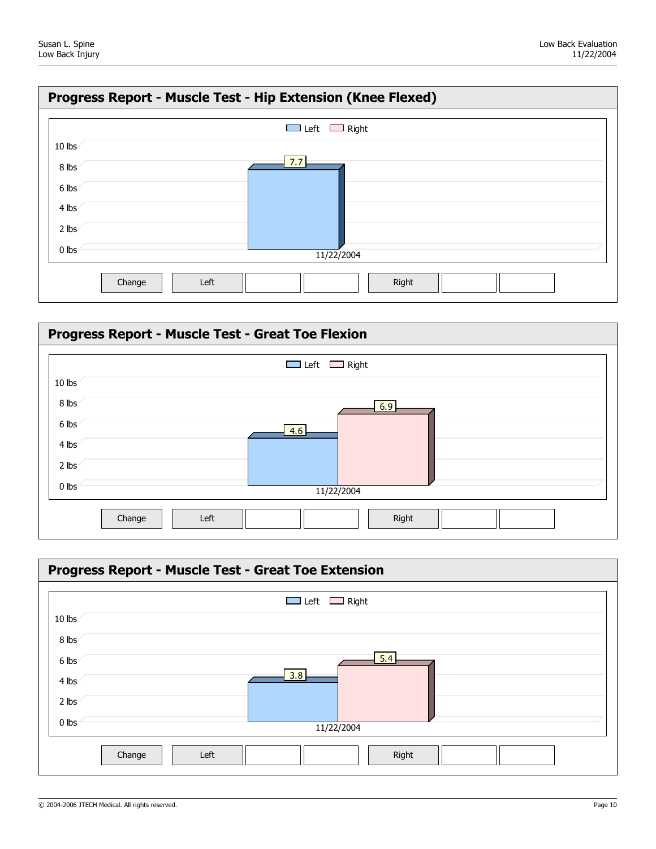



| Progress Report - Muscle Test - Great Toe Extension |                          |  |  |  |  |  |  |  |  |  |
|-----------------------------------------------------|--------------------------|--|--|--|--|--|--|--|--|--|
|                                                     | $\Box$ Left $\Box$ Right |  |  |  |  |  |  |  |  |  |
| 10 lbs                                              |                          |  |  |  |  |  |  |  |  |  |
| 8 lbs                                               |                          |  |  |  |  |  |  |  |  |  |
| 6 lbs                                               | 5.4                      |  |  |  |  |  |  |  |  |  |
| 4 lbs                                               | 3.8                      |  |  |  |  |  |  |  |  |  |
| 2 lbs                                               |                          |  |  |  |  |  |  |  |  |  |
| $0$ lbs                                             | 11/22/2004               |  |  |  |  |  |  |  |  |  |
|                                                     | Right<br>Left<br>Change  |  |  |  |  |  |  |  |  |  |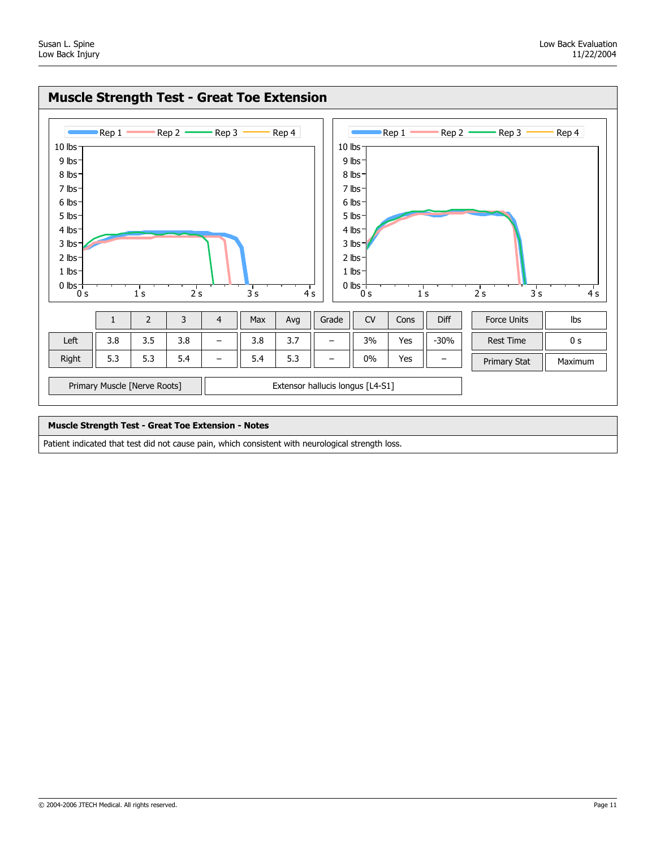

#### Muscle Strength Test - Great Toe Extension - Notes

Patient indicated that test did not cause pain, which consistent with neurological strength loss.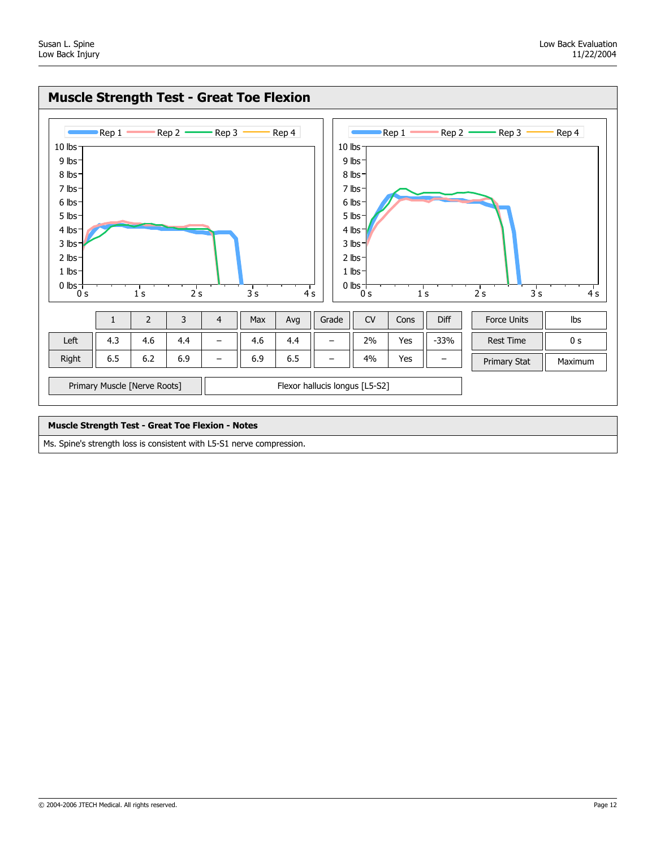

### Muscle Strength Test - Great Toe Flexion - Notes

Ms. Spine's strength loss is consistent with L5-S1 nerve compression.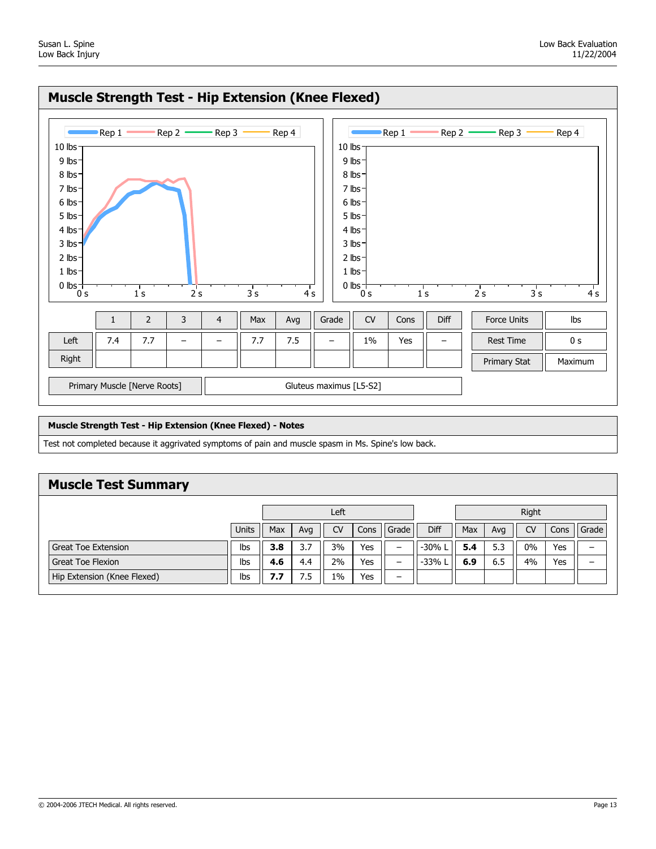

#### Muscle Strength Test - Hip Extension (Knee Flexed) - Notes

Test not completed because it aggrivated symptoms of pain and muscle spasm in Ms. Spine's low back.

## Muscle Test Summary

|                             |              | Left |                                   |       |     |                          |          | Right      |     |           |      |       |
|-----------------------------|--------------|------|-----------------------------------|-------|-----|--------------------------|----------|------------|-----|-----------|------|-------|
|                             | <b>Units</b> | Max  | <b>CV</b><br>Grade<br>Avg<br>Cons |       |     |                          |          | <b>Max</b> | Avg | <b>CV</b> | Cons | Grade |
| Great Toe Extension         | Ibs          | 3.8  | 3.7                               | 3%    | Yes | $\qquad \qquad -$        | -30% L   | 5.4        | 5.3 | 0%        | Yes  | -     |
| <b>Great Toe Flexion</b>    | Ibs          | 4.6  | 4.4                               | 2%    | Yes | $\overline{\phantom{m}}$ | $-33%$ L | 6.9        | 6.5 | 4%        | Yes  | -     |
| Hip Extension (Knee Flexed) | Ibs          | 7.7  | 7.5                               | $1\%$ | Yes | $\overline{\phantom{m}}$ |          |            |     |           |      |       |